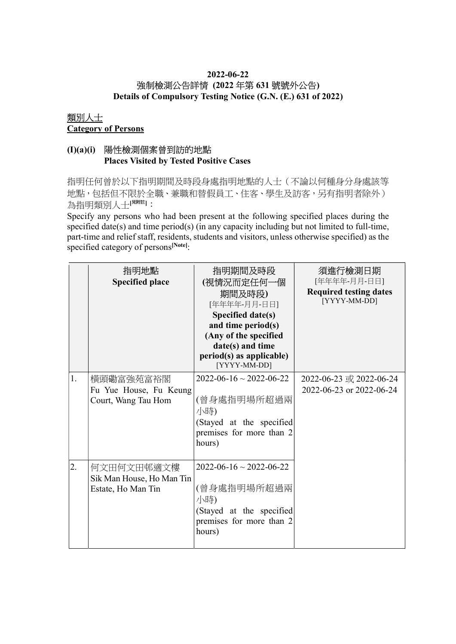# 2022-06-22 強制檢測公告詳情 (2022 年第 631 號號外公告)

Details of Compulsory Testing Notice (G.N. (E.) 631 of 2022)

### 類別人士 Category of Persons

# (I)(a)(i) 陽性檢測個案曾到訪的地點 Places Visited by Tested Positive Cases

指明任何曾於以下指明期間及時段身處指明地點的人士(不論以何種身分身處該等 地點,包括但不限於全職、兼職和替假員工、住客、學生及訪客,另有指明者除外) 為指明類別人士[思詳]:

Specify any persons who had been present at the following specified places during the specified date(s) and time period(s) (in any capacity including but not limited to full-time, part-time and relief staff, residents, students and visitors, unless otherwise specified) as the specified category of persons<sup>[Note]</sup>:

|    | 指明地點<br><b>Specified place</b>                                | 指明期間及時段<br>(視情況而定任何一個<br>期間及時段)<br>[年年年年-月月-日日]<br>Specified date(s)<br>and time period(s)<br>(Any of the specified<br>date(s) and time<br>period(s) as applicable)<br>[YYYY-MM-DD] | 須進行檢測日期<br>[年年年年-月月-日日]<br><b>Required testing dates</b><br>[YYYY-MM-DD] |
|----|---------------------------------------------------------------|-------------------------------------------------------------------------------------------------------------------------------------------------------------------------------------|--------------------------------------------------------------------------|
| 1. | 横頭磡富強苑富裕閣<br>Fu Yue House, Fu Keung<br>Court, Wang Tau Hom    | $2022 - 06 - 16 \sim 2022 - 06 - 22$<br>(曾身處指明場所超過兩<br>小時)<br>(Stayed at the specified<br>premises for more than 2<br>hours)                                                        | 2022-06-23 或 2022-06-24<br>2022-06-23 or 2022-06-24                      |
| 2. | 何文田何文田邨適文樓<br>Sik Man House, Ho Man Tin<br>Estate, Ho Man Tin | $2022 - 06 - 16 \sim 2022 - 06 - 22$<br>(曾身處指明場所超過兩<br>小時)<br>(Stayed at the specified<br>premises for more than 2<br>hours)                                                        |                                                                          |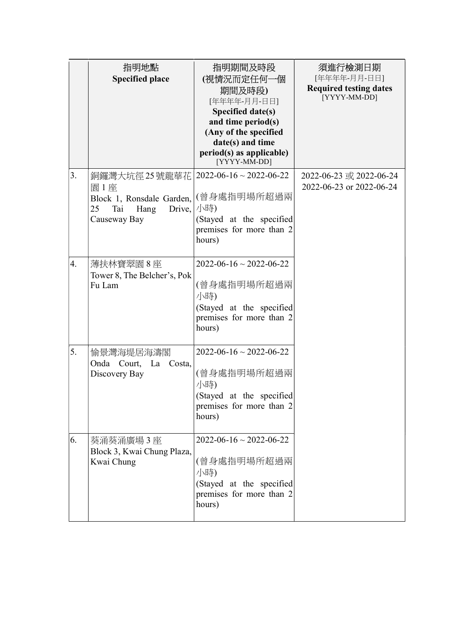|    | 指明地點<br><b>Specified place</b>                                                                    | 指明期間及時段<br>(視情況而定任何一個<br>期間及時段)<br>[年年年年-月月-日日]<br>Specified date(s)<br>and time period(s)<br>(Any of the specified<br>date(s) and time<br>period(s) as applicable)<br>[YYYY-MM-DD] | 須進行檢測日期<br>[年年年年-月月-日日]<br><b>Required testing dates</b><br>[YYYY-MM-DD] |
|----|---------------------------------------------------------------------------------------------------|-------------------------------------------------------------------------------------------------------------------------------------------------------------------------------------|--------------------------------------------------------------------------|
| 3. | 銅鑼灣大坑徑 25 號龍華花<br>園1座<br>Block 1, Ronsdale Garden,<br>25<br>Tai<br>Hang<br>Drive,<br>Causeway Bay | $2022 - 06 - 16 \sim 2022 - 06 - 22$<br>(曾身處指明場所超過兩<br>小時)<br>(Stayed at the specified<br>premises for more than 2<br>hours)                                                        | 2022-06-23 或 2022-06-24<br>2022-06-23 or 2022-06-24                      |
| 4. | 薄扶林寶翠園8座<br>Tower 8, The Belcher's, Pok<br>Fu Lam                                                 | $2022 - 06 - 16 \sim 2022 - 06 - 22$<br>(曾身處指明場所超過兩<br>小時)<br>(Stayed at the specified<br>premises for more than 2<br>hours)                                                        |                                                                          |
| 5. | 愉景灣海堤居海濤閣<br>Onda Court, La Costa,<br>Discovery Bay                                               | $2022 - 06 - 16 \sim 2022 - 06 - 22$<br>(曾身處指明場所超過兩<br>小時)<br>(Stayed at the specified<br>premises for more than 2<br>hours)                                                        |                                                                          |
| 6. | 葵涌葵涌廣場 3 座<br>Block 3, Kwai Chung Plaza,<br>Kwai Chung                                            | $2022 - 06 - 16 \sim 2022 - 06 - 22$<br>(曾身處指明場所超過兩<br>小時)<br>(Stayed at the specified<br>premises for more than 2<br>hours)                                                        |                                                                          |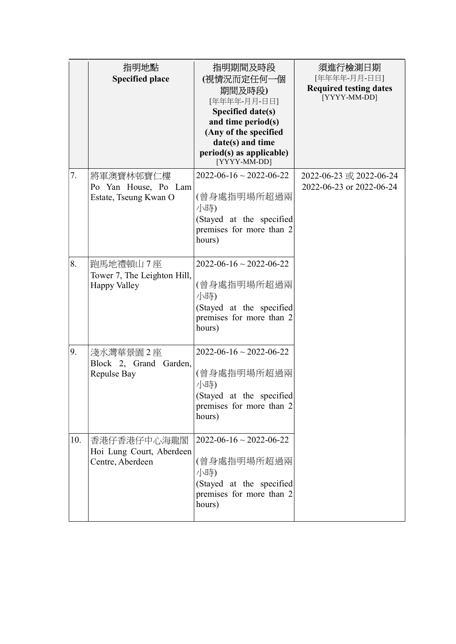|     | 指明地點<br><b>Specified place</b>                              | 指明期間及時段<br>(視情況而定任何一個<br>期間及時段)<br>[年年年年-月月-日日]<br>Specified date(s)<br>and time period(s)<br>(Any of the specified<br>date(s) and time<br>period(s) as applicable)<br>[YYYY-MM-DD] | 須進行檢測日期<br>[年年年年-月月-日日]<br><b>Required testing dates</b><br>[YYYY-MM-DD] |
|-----|-------------------------------------------------------------|-------------------------------------------------------------------------------------------------------------------------------------------------------------------------------------|--------------------------------------------------------------------------|
| 7.  | 將軍澳寶林邨寶仁樓<br>Po Yan House, Po Lam<br>Estate, Tseung Kwan O  | $2022 - 06 - 16 \sim 2022 - 06 - 22$<br>(曾身處指明場所超過兩<br>小時)<br>(Stayed at the specified<br>premises for more than 2<br>hours)                                                        | 2022-06-23 或 2022-06-24<br>2022-06-23 or 2022-06-24                      |
| 8.  | 跑馬地禮頓山7座<br>Tower 7, The Leighton Hill,<br>Happy Valley     | $2022 - 06 - 16 \sim 2022 - 06 - 22$<br>(曾身處指明場所超過兩<br>小時)<br>(Stayed at the specified<br>premises for more than 2<br>hours)                                                        |                                                                          |
| 9.  | 淺水灣華景園 2 座<br>Block 2, Grand Garden,<br>Repulse Bay         | $2022 - 06 - 16 \sim 2022 - 06 - 22$<br>(曾身處指明場所超過兩<br>小時)<br>(Stayed at the specified<br>premises for more than 2<br>hours)                                                        |                                                                          |
| 10. | 香港仔香港仔中心海龍閣<br>Hoi Lung Court, Aberdeen<br>Centre, Aberdeen | $2022 - 06 - 16 \sim 2022 - 06 - 22$<br>(曾身處指明場所超過兩<br>小時)<br>(Stayed at the specified<br>premises for more than 2<br>hours)                                                        |                                                                          |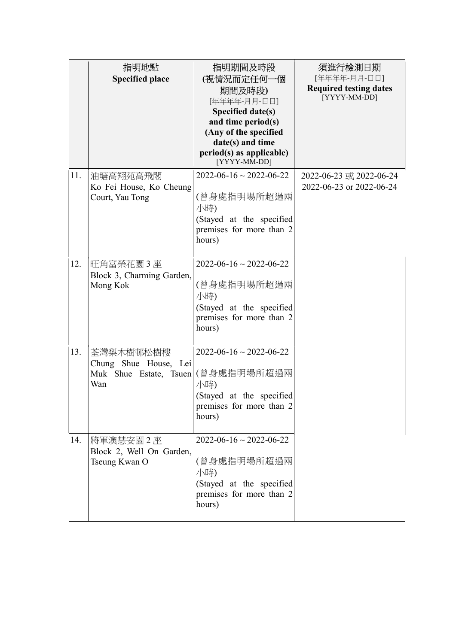|     | 指明地點<br><b>Specified place</b>                                      | 指明期間及時段<br>(視情況而定任何一個<br>期間及時段)<br>[年年年年-月月-日日]<br>Specified date(s)<br>and time period(s)<br>(Any of the specified<br>date(s) and time<br>period(s) as applicable)<br>[YYYY-MM-DD] | 須進行檢測日期<br>[年年年年-月月-日日]<br><b>Required testing dates</b><br>[YYYY-MM-DD] |
|-----|---------------------------------------------------------------------|-------------------------------------------------------------------------------------------------------------------------------------------------------------------------------------|--------------------------------------------------------------------------|
| 11. | 油塘高翔苑高飛閣<br>Ko Fei House, Ko Cheung<br>Court, Yau Tong              | $2022 - 06 - 16 \sim 2022 - 06 - 22$<br>(曾身處指明場所超過兩<br>小時)<br>(Stayed at the specified<br>premises for more than 2<br>hours)                                                        | 2022-06-23 或 2022-06-24<br>2022-06-23 or 2022-06-24                      |
| 12. | 旺角富榮花園 3 座<br>Block 3, Charming Garden,<br>Mong Kok                 | $2022 - 06 - 16 \sim 2022 - 06 - 22$<br>(曾身處指明場所超過兩<br>小時)<br>(Stayed at the specified<br>premises for more than 2<br>hours)                                                        |                                                                          |
| 13. | 荃灣梨木樹邨松樹樓<br>Chung Shue House, Lei<br>Muk Shue Estate, Tsuen<br>Wan | $2022 - 06 - 16 \sim 2022 - 06 - 22$<br>(曾身處指明場所超過兩<br>小時)<br>(Stayed at the specified<br>premises for more than 2<br>hours)                                                        |                                                                          |
| 14. | 將軍澳慧安園 2 座<br>Block 2, Well On Garden,<br>Tseung Kwan O             | $2022 - 06 - 16 \sim 2022 - 06 - 22$<br>(曾身處指明場所超過兩<br>小時)<br>(Stayed at the specified<br>premises for more than 2<br>hours)                                                        |                                                                          |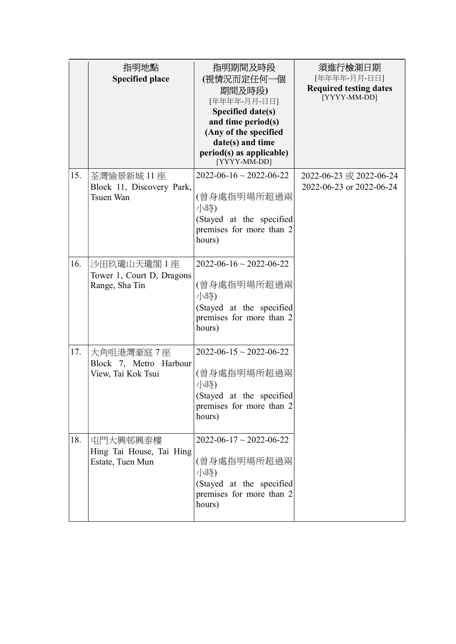|     | 指明地點<br><b>Specified place</b>                            | 指明期間及時段<br>(視情況而定任何一個<br>期間及時段)<br>[年年年年-月月-日日]<br>Specified date(s)<br>and time period(s)<br>(Any of the specified<br>date(s) and time<br>period(s) as applicable)<br>[YYYY-MM-DD] | 須進行檢測日期<br>[年年年年-月月-日日]<br><b>Required testing dates</b><br>[YYYY-MM-DD] |
|-----|-----------------------------------------------------------|-------------------------------------------------------------------------------------------------------------------------------------------------------------------------------------|--------------------------------------------------------------------------|
| 15. | 荃灣愉景新城 11 座<br>Block 11, Discovery Park,<br>Tsuen Wan     | $2022 - 06 - 16 \sim 2022 - 06 - 22$<br>(曾身處指明場所超過兩<br>小時)<br>(Stayed at the specified<br>premises for more than 2<br>hours)                                                        | 2022-06-23 或 2022-06-24<br>2022-06-23 or 2022-06-24                      |
| 16. | 沙田玖瓏山天瓏閣1座<br>Tower 1, Court D, Dragons<br>Range, Sha Tin | $2022 - 06 - 16 \approx 2022 - 06 - 22$<br>(曾身處指明場所超過兩<br>小時)<br>(Stayed at the specified<br>premises for more than 2<br>hours)                                                     |                                                                          |
| 17. | 大角咀港灣豪庭7座<br>Block 7, Metro Harbour<br>View, Tai Kok Tsui | $2022 - 06 - 15 \sim 2022 - 06 - 22$<br>(曾身處指明場所超過兩<br>小時)<br>(Stayed at the specified<br>premises for more than 2<br>hours)                                                        |                                                                          |
| 18. | 屯門大興邨興泰樓<br>Hing Tai House, Tai Hing<br>Estate, Tuen Mun  | $2022 - 06 - 17 \sim 2022 - 06 - 22$<br>(曾身處指明場所超過兩<br>小時)<br>(Stayed at the specified<br>premises for more than 2<br>hours)                                                        |                                                                          |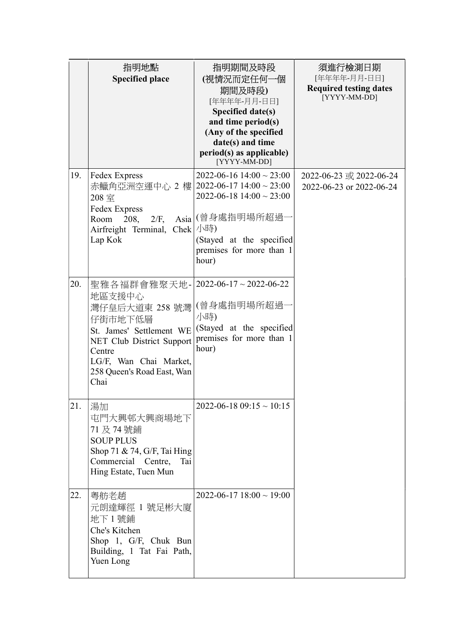|     | 指明地點<br><b>Specified place</b>                                                                                                                                                         | 指明期間及時段<br>(視情況而定任何一個<br>期間及時段)<br>[年年年年-月月-日日]<br>Specified date(s)<br>and time period(s)<br>(Any of the specified<br>date(s) and time<br>period(s) as applicable)<br>[YYYY-MM-DD]                     | 須進行檢測日期<br>[年年年年-月月-日日]<br><b>Required testing dates</b><br>[YYYY-MM-DD] |
|-----|----------------------------------------------------------------------------------------------------------------------------------------------------------------------------------------|---------------------------------------------------------------------------------------------------------------------------------------------------------------------------------------------------------|--------------------------------------------------------------------------|
| 19. | Fedex Express<br>赤鱲角亞洲空運中心 2樓 <br>208室<br>Fedex Express<br>Room<br>208,<br>$2/F$ ,<br>Airfreight Terminal, Chek<br>Lap Kok                                                             | $2022 - 06 - 16$ 14:00 $\sim$ 23:00<br>$2022 - 06 - 17$ 14:00 ~ 23:00<br>$2022 - 06 - 18$ 14:00 $\sim$ 23:00<br>Asia (曾身處指明場所超過<br>小時)<br>(Stayed at the specified<br>premises for more than 1<br>hour) | 2022-06-23 或 2022-06-24<br>2022-06-23 or 2022-06-24                      |
| 20. | 聖雅各福群會雅聚天地- <br>地區支援中心<br>灣仔皇后大道東 258 號灣<br>仔街市地下低層<br>St. James' Settlement WE<br>NET Club District Support<br>Centre<br>LG/F, Wan Chai Market,<br>258 Queen's Road East, Wan<br>Chai | $2022 - 06 - 17 \sim 2022 - 06 - 22$<br>(曾身處指明場所超過·<br>小時)<br>(Stayed at the specified<br>premises for more than 1<br>hour)                                                                             |                                                                          |
| 21. | 湯加<br>屯門大興邨大興商場地下<br>71 及 74 號鋪<br><b>SOUP PLUS</b><br>Shop 71 & 74, G/F, Tai Hing<br>Commercial Centre,<br>Tai<br>Hing Estate, Tuen Mun                                               | $2022 - 06 - 1809:15 \sim 10:15$                                                                                                                                                                        |                                                                          |
| 22. | 粵舫老趙<br>元朗達輝徑 1 號足彬大廈<br>地下1號鋪<br>Che's Kitchen<br>Shop 1, G/F, Chuk Bun<br>Building, 1 Tat Fai Path,<br>Yuen Long                                                                     | $2022 - 06 - 17$ 18:00 ~ 19:00                                                                                                                                                                          |                                                                          |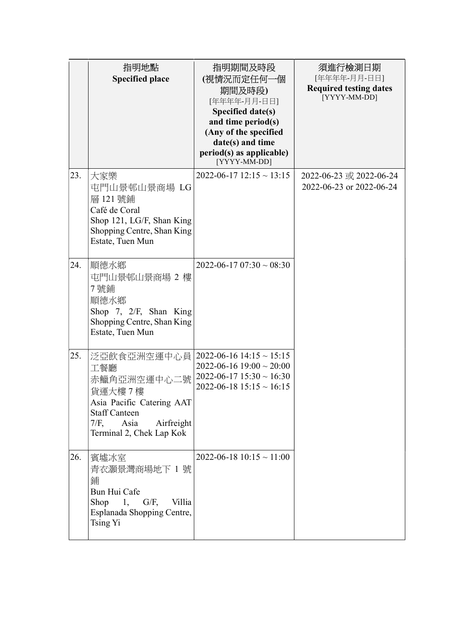|     | 指明地點<br><b>Specified place</b>                                                                                                                                | 指明期間及時段<br>(視情況而定任何一個<br>期間及時段)<br>[年年年年-月月-日日]<br>Specified date(s)<br>and time period(s)<br>(Any of the specified<br>date(s) and time<br>period(s) as applicable)<br>[YYYY-MM-DD] | 須進行檢測日期<br>[年年年年-月月-日日]<br><b>Required testing dates</b><br>[YYYY-MM-DD] |
|-----|---------------------------------------------------------------------------------------------------------------------------------------------------------------|-------------------------------------------------------------------------------------------------------------------------------------------------------------------------------------|--------------------------------------------------------------------------|
| 23. | 大家樂<br>屯門山景邨山景商場 LG<br>層 121號鋪<br>Café de Coral<br>Shop 121, LG/F, Shan King<br>Shopping Centre, Shan King<br>Estate, Tuen Mun                                | $2022 - 06 - 17$ 12:15 ~ 13:15                                                                                                                                                      | 2022-06-23 或 2022-06-24<br>2022-06-23 or 2022-06-24                      |
| 24. | 順德水鄉<br>屯門山景邨山景商場 2 樓<br>7號鋪<br>順德水鄉<br>Shop 7, $2/F$ , Shan King<br>Shopping Centre, Shan King<br>Estate, Tuen Mun                                           | $2022 - 06 - 1707:30 \sim 08:30$                                                                                                                                                    |                                                                          |
| 25. | 泛亞飲食亞洲空運中心員<br>工餐廳<br>赤鱲角亞洲空運中心二號<br>貨運大樓7樓<br>Asia Pacific Catering AAT<br><b>Staff Canteen</b><br>$7/F$ ,<br>Asia<br>Airfreight<br>Terminal 2, Chek Lap Kok | $2022 - 06 - 16$ 14:15 ~ 15:15<br>$2022 - 06 - 16$ 19:00 $\sim$ 20:00<br>$2022 - 06 - 17$ 15:30 ~ 16:30<br>$2022 - 06 - 18$ 15:15 ~ 16:15                                           |                                                                          |
| 26. | 賓墟冰室<br>青衣灝景灣商場地下 1 號<br>鋪<br>Bun Hui Cafe<br>Shop 1, $G/F$ ,<br>Villia<br>Esplanada Shopping Centre,<br>Tsing Yi                                             | $2022 - 06 - 18$ 10:15 ~ 11:00                                                                                                                                                      |                                                                          |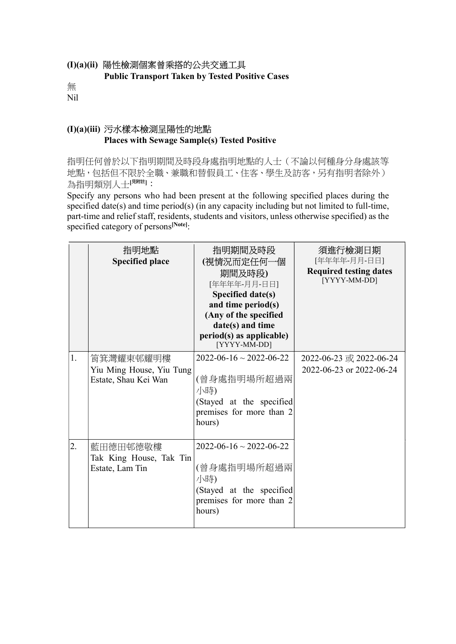### (I)(a)(ii) 陽性檢測個案曾乘搭的公共交通工具

Public Transport Taken by Tested Positive Cases

無 Nil

## (I)(a)(iii) 污水樣本檢測呈陽性的地點 Places with Sewage Sample(s) Tested Positive

指明任何曾於以下指明期間及時段身處指明地點的人士(不論以何種身分身處該等 地點,包括但不限於全職、兼職和替假員工、住客、學生及訪客,另有指明者除外) 為指明類別人士[<sup>見附註]</sup>:

Specify any persons who had been present at the following specified places during the specified date(s) and time period(s) (in any capacity including but not limited to full-time, part-time and relief staff, residents, students and visitors, unless otherwise specified) as the specified category of persons<sup>[Note]</sup>:

|    | 指明地點<br><b>Specified place</b>                                | 指明期間及時段<br>(視情況而定任何一個<br>期間及時段)<br>[年年年年-月月-日日]<br>Specified date(s)<br>and time period(s)<br>(Any of the specified<br>date(s) and time<br>period(s) as applicable)<br>[YYYY-MM-DD] | 須進行檢測日期<br>[年年年年-月月-日日]<br><b>Required testing dates</b><br>[YYYY-MM-DD] |
|----|---------------------------------------------------------------|-------------------------------------------------------------------------------------------------------------------------------------------------------------------------------------|--------------------------------------------------------------------------|
| 1. | 筲箕灣耀東邨耀明樓<br>Yiu Ming House, Yiu Tung<br>Estate, Shau Kei Wan | $2022 - 06 - 16 \sim 2022 - 06 - 22$<br>(曾身處指明場所超過兩<br>小時)<br>(Stayed at the specified<br>premises for more than 2<br>hours)                                                        | 2022-06-23 或 2022-06-24<br>2022-06-23 or 2022-06-24                      |
| 2. | 藍田德田邨德敬樓<br>Tak King House, Tak Tin<br>Estate, Lam Tin        | $2022 - 06 - 16 \sim 2022 - 06 - 22$<br>(曾身處指明場所超過兩<br>小時)<br>(Stayed at the specified<br>premises for more than 2<br>hours)                                                        |                                                                          |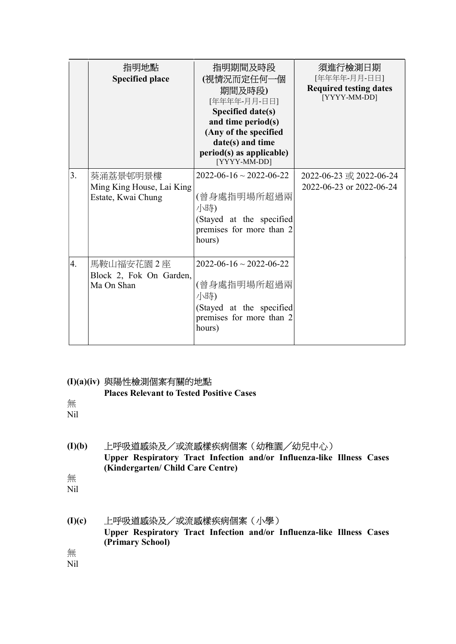|    | 指明地點<br><b>Specified place</b>                              | 指明期間及時段<br>(視情況而定任何一個<br>期間及時段)<br>[年年年年-月月-日日]<br>Specified date(s)<br>and time period(s)<br>(Any of the specified<br>date(s) and time<br>period(s) as applicable)<br>[YYYY-MM-DD] | 須進行檢測日期<br>[年年年年-月月-日日]<br><b>Required testing dates</b><br>[YYYY-MM-DD] |
|----|-------------------------------------------------------------|-------------------------------------------------------------------------------------------------------------------------------------------------------------------------------------|--------------------------------------------------------------------------|
| 3. | 葵涌荔景邨明景樓<br>Ming King House, Lai King<br>Estate, Kwai Chung | $2022 - 06 - 16 \sim 2022 - 06 - 22$<br>(曾身處指明場所超過兩<br>小時)<br>(Stayed at the specified<br>premises for more than 2<br>hours)                                                        | 2022-06-23 或 2022-06-24<br>2022-06-23 or 2022-06-24                      |
| 4. | 馬鞍山福安花園 2 座<br>Block 2, Fok On Garden,<br>Ma On Shan        | $2022 - 06 - 16 \sim 2022 - 06 - 22$<br>(曾身處指明場所超過兩<br>小時)<br>(Stayed at the specified<br>premises for more than 2<br>hours)                                                        |                                                                          |

### (I)(a)(iv) 與陽性檢測個案有關的地點

Places Relevant to Tested Positive Cases

無 Nil

- (I)(b) 上呼吸道感染及/或流感樣疾病個案(幼稚園╱幼兒中心) Upper Respiratory Tract Infection and/or Influenza-like Illness Cases (Kindergarten/ Child Care Centre) 無
- Nil
- (I)(c) 上呼吸道感染及/或流感樣疾病個案(小學) Upper Respiratory Tract Infection and/or Influenza-like Illness Cases (Primary School)

無

Nil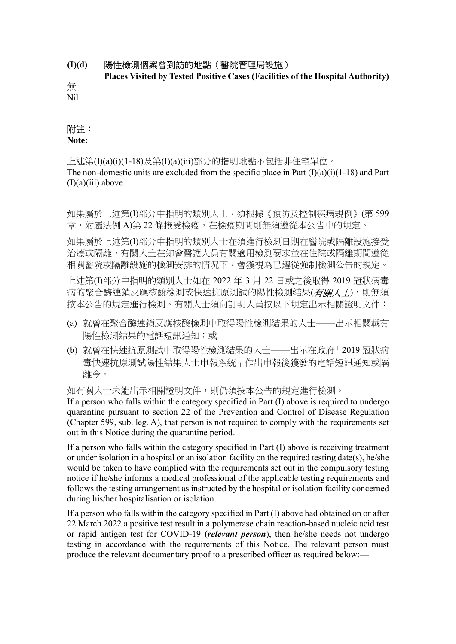### (I)(d) 陽性檢測個案曾到訪的地點(醫院管理局設施)

Places Visited by Tested Positive Cases (Facilities of the Hospital Authority)

無 Nil

### 附註:

#### Note:

上述第(I)(a)(i)(1-18)及第(I)(a)(iii)部分的指明地點不包括非住宅單位。 The non-domestic units are excluded from the specific place in Part  $(I)(a)(i)(1-18)$  and Part  $(I)(a)(iii)$  above.

如果屬於上述第(I)部分中指明的類別人士,須根據《預防及控制疾病規例》(第 599 章,附屬法例 A)第 22 條接受檢疫,在檢疫期間則無須遵從本公告中的規定。

如果屬於上述第(I)部分中指明的類別人士在須進行檢測日期在醫院或隔離設施接受 治療或隔離,有關人士在知會醫護人員有關適用檢測要求並在住院或隔離期間遵從 相關醫院或隔離設施的檢測安排的情況下,會獲視為已遵從強制檢測公告的規定。

上述第(I)部分中指明的類別人士如在 2022 年 3 月 22 日或之後取得 2019 冠狀病毒 病的聚合酶連鎖反應核酸檢測或快速抗原測試的陽性檢測結果(有關人士),則無須 按本公告的規定進行檢測。有關人士須向訂明人員按以下規定出示相關證明文件:

- (a) 就曾在聚合酶連鎖反應核酸檢測中取得陽性檢測結果的人士——出示相關載有 陽性檢測結果的電話短訊通知;或
- (b) 就曾在快速抗原測試中取得陽性檢測結果的人士——出示在政府「2019 冠狀病 毒快速抗原測試陽性結果人士申報系統」作出申報後獲發的電話短訊通知或隔 離令。

如有關人士未能出示相關證明文件,則仍須按本公告的規定進行檢測。

If a person who falls within the category specified in Part (I) above is required to undergo quarantine pursuant to section 22 of the Prevention and Control of Disease Regulation (Chapter 599, sub. leg. A), that person is not required to comply with the requirements set out in this Notice during the quarantine period.

If a person who falls within the category specified in Part (I) above is receiving treatment or under isolation in a hospital or an isolation facility on the required testing date(s), he/she would be taken to have complied with the requirements set out in the compulsory testing notice if he/she informs a medical professional of the applicable testing requirements and follows the testing arrangement as instructed by the hospital or isolation facility concerned during his/her hospitalisation or isolation.

If a person who falls within the category specified in Part (I) above had obtained on or after 22 March 2022 a positive test result in a polymerase chain reaction-based nucleic acid test or rapid antigen test for COVID-19 (*relevant person*), then he/she needs not undergo testing in accordance with the requirements of this Notice. The relevant person must produce the relevant documentary proof to a prescribed officer as required below:—